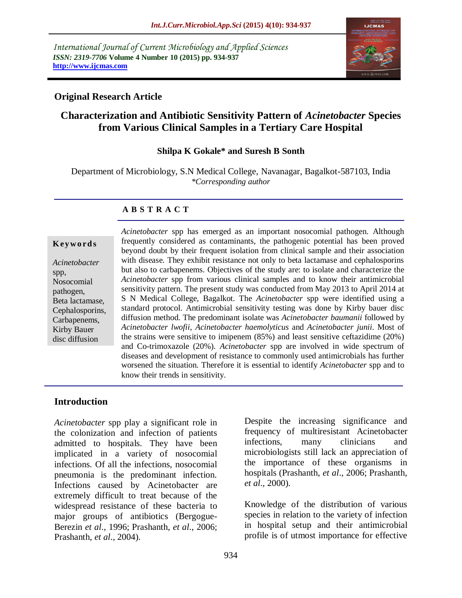*International Journal of Current Microbiology and Applied Sciences ISSN: 2319-7706* **Volume 4 Number 10 (2015) pp. 934-937 http://www.ijcmas.com** 



### **Original Research Article**

# **Characterization and Antibiotic Sensitivity Pattern of** *Acinetobacter* **Species from Various Clinical Samples in a Tertiary Care Hospital**

### **Shilpa K Gokale\* and Suresh B Sonth**

Department of Microbiology, S.N Medical College, Navanagar, Bagalkot-587103, India *\*Corresponding author*

### **A B S T R A C T**

#### **K ey w o rd s**

*Acinetobacter*  spp, Nosocomial pathogen, Beta lactamase, Cephalosporins, Carbapenems, Kirby Bauer disc diffusion

*Acinetobacter* spp has emerged as an important nosocomial pathogen. Although frequently considered as contaminants, the pathogenic potential has been proved beyond doubt by their frequent isolation from clinical sample and their association with disease. They exhibit resistance not only to beta lactamase and cephalosporins but also to carbapenems. Objectives of the study are: to isolate and characterize the *Acinetobacter* spp from various clinical samples and to know their antimicrobial sensitivity pattern. The present study was conducted from May 2013 to April 2014 at S N Medical College, Bagalkot. The *Acinetobacter* spp were identified using a standard protocol. Antimicrobial sensitivity testing was done by Kirby bauer disc diffusion method. The predominant isolate was *Acinetobacter baumanii* followed by *Acinetobacter lwofii*, *Acinetobacter haemolyticus* and *Acinetobacter junii*. Most of the strains were sensitive to imipenem (85%) and least sensitive ceftazidime (20%) and Co-trimoxazole (20%). *Acinetobacter* spp are involved in wide spectrum of diseases and development of resistance to commonly used antimicrobials has further worsened the situation. Therefore it is essential to identify *Acinetobacter* spp and to know their trends in sensitivity.

### **Introduction**

*Acinetobacter* spp play a significant role in the colonization and infection of patients admitted to hospitals. They have been implicated in a variety of nosocomial infections. Of all the infections, nosocomial pneumonia is the predominant infection. Infections caused by Acinetobacter are extremely difficult to treat because of the widespread resistance of these bacteria to major groups of antibiotics (Bergogue-Berezin *et al*., 1996; Prashanth, *et al*., 2006; Prashanth, *et al*., 2004).

Despite the increasing significance and frequency of multiresistant Acinetobacter infections, many clinicians and microbiologists still lack an appreciation of the importance of these organisms in hospitals (Prashanth, *et al*., 2006; Prashanth, *et al*., 2000).

Knowledge of the distribution of various species in relation to the variety of infection in hospital setup and their antimicrobial profile is of utmost importance for effective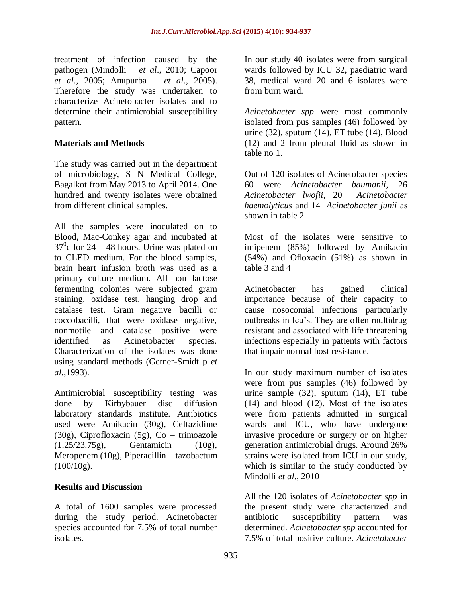treatment of infection caused by the pathogen (Mindolli *et al*., 2010; Capoor *et al*., 2005; Anupurba *et al*., 2005). Therefore the study was undertaken to characterize Acinetobacter isolates and to determine their antimicrobial susceptibility pattern.

### **Materials and Methods**

The study was carried out in the department of microbiology, S N Medical College, Bagalkot from May 2013 to April 2014. One hundred and twenty isolates were obtained from different clinical samples.

All the samples were inoculated on to Blood, Mac-Conkey agar and incubated at  $37^{\circ}$ c for 24 – 48 hours. Urine was plated on to CLED medium. For the blood samples, brain heart infusion broth was used as a primary culture medium. All non lactose fermenting colonies were subjected gram staining, oxidase test, hanging drop and catalase test. Gram negative bacilli or coccobacilli, that were oxidase negative, nonmotile and catalase positive were identified as Acinetobacter species. Characterization of the isolates was done using standard methods (Gerner-Smidt p *et al*.,1993).

Antimicrobial susceptibility testing was done by Kirbybauer disc diffusion laboratory standards institute. Antibiotics used were Amikacin (30g), Ceftazidime (30g), Ciprofloxacin (5g), Co – trimoazole (1.25/23.75g), Gentamicin (10g), Meropenem (10g), Piperacillin – tazobactum  $(100/10g)$ .

### **Results and Discussion**

A total of 1600 samples were processed during the study period. Acinetobacter species accounted for 7.5% of total number isolates.

In our study 40 isolates were from surgical wards followed by ICU 32, paediatric ward 38, medical ward 20 and 6 isolates were from burn ward.

*Acinetobacter spp* were most commonly isolated from pus samples (46) followed by urine (32), sputum (14), ET tube (14), Blood (12) and 2 from pleural fluid as shown in table no 1.

Out of 120 isolates of Acinetobacter species 60 were *Acinetobacter baumanii*, 26 *Acinetobacter lwofii*, 20 *Acinetobacter haemolyticus* and 14 *Acinetobacter junii* as shown in table 2.

Most of the isolates were sensitive to imipenem (85%) followed by Amikacin (54%) and Ofloxacin (51%) as shown in table 3 and 4

Acinetobacter has gained clinical importance because of their capacity to cause nosocomial infections particularly outbreaks in Icu's. They are often multidrug resistant and associated with life threatening infections especially in patients with factors that impair normal host resistance.

In our study maximum number of isolates were from pus samples (46) followed by urine sample (32), sputum (14), ET tube (14) and blood (12). Most of the isolates were from patients admitted in surgical wards and ICU, who have undergone invasive procedure or surgery or on higher generation antimicrobial drugs. Around 26% strains were isolated from ICU in our study, which is similar to the study conducted by Mindolli *et al*., 2010

All the 120 isolates of *Acinetobacter spp* in the present study were characterized and antibiotic susceptibility pattern was determined. *Acinetobacter spp* accounted for 7.5% of total positive culture. *Acinetobacter*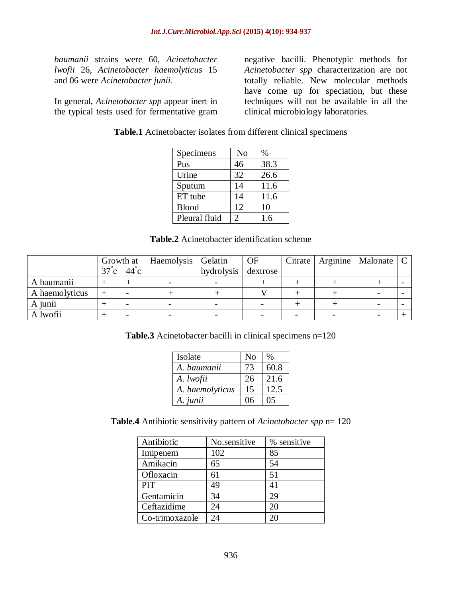*baumanii* strains were 60, *Acinetobacter lwofii* 26, *Acinetobacter haemolyticus* 15 and 06 were *Acinetobacter junii*.

In general, *Acinetobacter spp* appear inert in the typical tests used for fermentative gram

negative bacilli. Phenotypic methods for *Acinetobacter spp* characterization are not totally reliable. New molecular methods have come up for speciation, but these techniques will not be available in all the clinical microbiology laboratories.

**Table.1** Acinetobacter isolates from different clinical specimens

| Specimens     | N <sub>o</sub> | $\%$ |
|---------------|----------------|------|
| Pus           | 46             | 38.3 |
| Urine         | 32             | 26.6 |
| Sputum        | 14             | 11.6 |
| ET tube       | 14             | 11.6 |
| <b>Blood</b>  | 12             | 10   |
| Pleural fluid | 2              | 1.6  |

**Table.2** Acinetobacter identification scheme

|                | Growth at          |                | Haemolysis   Gelatin |            | <b>OF</b> | Citrate                  | Arginine   Malonate   C |  |
|----------------|--------------------|----------------|----------------------|------------|-----------|--------------------------|-------------------------|--|
|                | 37<br>$\mathbf{c}$ | $44^{\circ}$ c |                      | hydrolysis | dextrose  |                          |                         |  |
| A baumanii     |                    |                |                      |            |           |                          |                         |  |
| A haemolyticus |                    |                |                      |            |           |                          |                         |  |
| A junii        |                    |                |                      |            |           |                          |                         |  |
| A lwofii       |                    |                |                      |            |           | $\overline{\phantom{0}}$ |                         |  |

**Table.3** Acinetobacter bacilli in clinical specimens n=120

| Isolate         | N <sub>o</sub> | %    |
|-----------------|----------------|------|
| A. baumanii     | 73             | 60.8 |
| A. lwofii       | 26             | 21.6 |
| A. haemolyticus | 15             | 12.5 |
| A. junii        | 06             | 05   |

**Table.4** Antibiotic sensitivity pattern of *Acinetobacter spp* n= 120

| Antibiotic     | No.sensitive | % sensitive |
|----------------|--------------|-------------|
| Imipenem       | 102          | 85          |
| Amikacin       | 65           | 54          |
| Ofloxacin      | 61           | 51          |
| PIT            | 49           | 41          |
| Gentamicin     | 34           | 29          |
| Ceftazidime    | 24           | 20          |
| Co-trimoxazole | 24           |             |